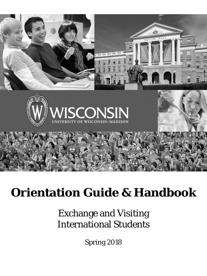

# **Orientation Guide & Handbook**

# Exchange and Visiting International Students

Spring 2018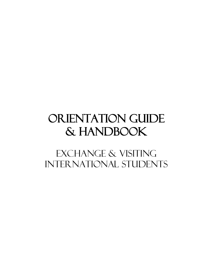# ORIENTATION GUIDE & HANDBOOK

EXCHANGE & VISITING International STUDENTs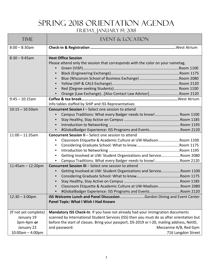# Spring 2018 Orientation Agenda Friday, January 19, 2018

<span id="page-2-0"></span>

| <b>TIME</b>                                                                           | <b>EVENT &amp; LOCATION</b>                                                                                                                                                                                                                                                                                                                                         |
|---------------------------------------------------------------------------------------|---------------------------------------------------------------------------------------------------------------------------------------------------------------------------------------------------------------------------------------------------------------------------------------------------------------------------------------------------------------------|
| $8:00 - 8:30$ am                                                                      |                                                                                                                                                                                                                                                                                                                                                                     |
| $8:30 - 9:45$ am<br>$9:45 - 10:15am$                                                  | <b>Host Office Session</b><br>Please attend only the session that corresponds with the color on your nametag.<br>$\bullet$<br>$\bullet$<br>Orange (Law Exchange)[Also Contact Law Advisor]Room 2120                                                                                                                                                                 |
|                                                                                       | Info tables staffed by SHIP and ISS Representatives                                                                                                                                                                                                                                                                                                                 |
| $10:15 - 10:50$ am                                                                    | <b>Concurrent Session I-Select one session to attend</b><br>Campus Traditions: What every Badger needs to know! Room 1100<br>$\bullet$<br>#GlobalBadger Experience: ISS Programs and EventsRoom 2120                                                                                                                                                                |
| $11:00 - 11:35$ am                                                                    | <b>Concurrent Session II - Select one session to attend</b><br>Classroom Etiquette & Academic Culture at UW-MadisonRoom 1100<br>$\bullet$<br>$\bullet$<br>Getting Involved at UW: Student Organizations and ServiceRoom 2080<br>$\bullet$<br>Campus Traditions: What every Badger needs to know!Room 2120<br>٠                                                      |
| $11:45am - 12:20pm$<br>$12:30 - 3:00$ pm                                              | <b>Concurrent Session III - Select one session to attend</b><br>Getting Involved at UW: Student Organizations and ServiceRoom 1100<br>$\bullet$<br>$\bullet$<br>Classroom Etiquette & Academic Culture at UW-MadisonRoom 2080<br>#GlobalBadger Experience: ISS Programs and EventsRoom 2120<br>ISS Welcome Lunch and Panel DiscussionGordon Dining and Event Center |
|                                                                                       | Panel Topic: What I Wish I Had Known                                                                                                                                                                                                                                                                                                                                |
| (If not yet complete)<br>January 19<br>3pm-4pm or<br>January 22<br>$10:00am - 4:00pm$ | Mandatory ISS Check-In: If you have not already had your immigration documents<br>scanned by International Student Services (ISS) then you must do so after orientation but<br>before the start of classes. Bring your passport, DS-2019 or I-20, mailing address, NetID,<br>and password.<br>Mezzanine A/B, Red Gym<br>716 Langdon Street                          |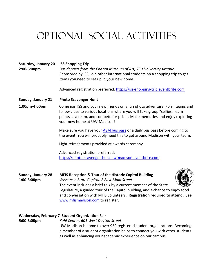# <span id="page-3-0"></span>Optional Social Activities

| Saturday, January 20<br>2:00-6:00pm      | <b>ISS Shopping Trip</b><br>Bus departs from the Chazen Museum of Art, 750 University Avenue<br>Sponsored by ISS, join other international students on a shopping trip to get<br>items you need to set up in your new home.                                                                                                                                                               |  |  |  |  |
|------------------------------------------|-------------------------------------------------------------------------------------------------------------------------------------------------------------------------------------------------------------------------------------------------------------------------------------------------------------------------------------------------------------------------------------------|--|--|--|--|
|                                          | Advanced registration preferred: https://iss-shopping-trip.eventbrite.com                                                                                                                                                                                                                                                                                                                 |  |  |  |  |
| Sunday, January 21                       | <b>Photo Scavenger Hunt</b>                                                                                                                                                                                                                                                                                                                                                               |  |  |  |  |
| 1:00pm-4:00pm                            | Come join ISS and your new friends on a fun photo adventure. Form teams and<br>follow clues to various locations where you will take group "selfies," earn<br>points as a team, and compete for prizes. Make memories and enjoy exploring<br>your new home at UW-Madison!                                                                                                                 |  |  |  |  |
|                                          | Make sure you have your ASM bus pass or a daily bus pass before coming to<br>the event. You will probably need this to get around Madison with your team.                                                                                                                                                                                                                                 |  |  |  |  |
|                                          | Light refreshments provided at awards ceremony.                                                                                                                                                                                                                                                                                                                                           |  |  |  |  |
|                                          | Advanced registration preferred:<br>https://photo-scavenger-hunt-uw-madison.eventbrite.com                                                                                                                                                                                                                                                                                                |  |  |  |  |
| <b>Sunday, January 28</b><br>1:00-3:00pm | <b>MFIS Reception &amp; Tour of the Historic Capitol Building</b><br>Wisconsin State Capitol, 2 East Main Street<br>The event includes a brief talk by a current member of the State<br>Legislature, a guided tour of the Capitol building, and a chance to enjoy food<br>and conversation with MFIS volunteers. Registration required to attend. See<br>www.mfismadison.com to register. |  |  |  |  |

## **Wednesday, February 7 Student Organization Fair**

**5:00-8:00pm** *Kohl Center, 601 West Dayton Street* UW-Madison is home to over 950 registered student organizations. Becoming a member of a student organization helps to connect you with other students as well as enhancing your academic experience on our campus.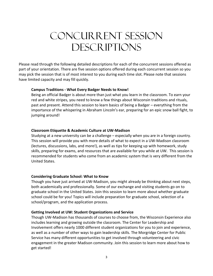# <span id="page-4-0"></span>Concurrent Session **DESCRIPTIONS**

Please read through the following detailed descriptions for each of the concurrent sessions offered as part of your orientation. There are five session options offered during each concurrent session so you may pick the session that is of most interest to you during each time slot. Please note that sessions have limited capacity and may fill quickly.

## **Campus Traditions - What Every Badger Needs to Know!**

Being an official Badger is about more than just what you learn in the classroom. To earn your red and white stripes, you need to know a few things about Wisconsin traditions and rituals, past and present. Attend this session to learn basics of being a Badger – everything from the importance of the whispering in Abraham Lincoln's ear, preparing for an epic snow ball fight, to jumping around!

### **Classroom Etiquette & Academic Culture at UW-Madison**

Studying at a new university can be a challenge – especially when you are in a foreign country. This session will provide you with more details of what to expect in a UW-Madison classroom (lectures, discussions, labs, and more!), as well as tips for keeping up with homework, study skills, preparing for exams, and resources that are available for you while at UW. This session is recommended for students who come from an academic system that is very different from the United States.

## **Considering Graduate School: What to Know**

Though you have just arrived at UW-Madison, you might already be thinking about next steps, both academically and professionally. Some of our exchange and visiting students go on to graduate school in the United States. Join this session to learn more about whether graduate school could be for you! Topics will include preparation for graduate school, selection of a school/program, and the application process.

### **Getting Involved at UW: Student Organizations and Service**

Though UW-Madison has thousands of courses to choose from, the Wisconsin Experience also includes learning and growing outside the classroom. The Center for Leadership and Involvement offers nearly 1000 different student organizations for you to join and experience, as well as a number of other ways to gain leadership skills. The Morgridge Center for Public Service has many different opportunities to get involved through volunteering and civic engagement in the greater Madison community. Join this session to learn more about how to get started!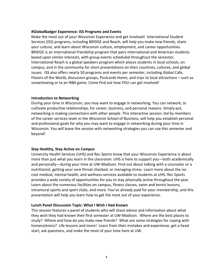### **#GlobalBadger Experience: ISS Programs and Events**

Make the most out of your Wisconsin Experience and get involved! International Student Services (ISS) programs, including BRIDGE and Reach, will help you make new friends, share your culture, and learn about Wisconsin culture, employment, and career opportunities. BRIDGE is an international friendship program that pairs international and American students based upon similar interests, with group events scheduled throughout the semester. International Reach is a global speakers program which places students in local schools, on campus, and in the community for short presentations on their countries, cultures, and global issues. ISS also offers nearly 50 programs and events per semester, including Global Cafe, Flavors of the World, discussion groups, Postcards Home, and trips to local attractions – such as snowshoeing or to an NBA game. Come find out how YOU can get involved!

### **Introduction to Networking**

During your time in Wisconsin, you may want to engage in networking. You can network, or cultivate productive relationships, for career, business, and personal reasons. Simply put, networking is making connections with other people. This interactive session, led by members of the career services team in the Wisconsin School of Business, will help you establish personal and professional goals for why you may want to engage in networking during your time in Wisconsin. You will leave the session with networking strategies you can use this semester and beyond!

## **Stay Healthy, Stay Active on Campus**

University Health Services (UHS) and Rec Sports know that your Wisconsin Experience is about more than just what you learn in the classroom. UHS is here to support you—both academically and personally—during your time at UW-Madison. Find out about talking with a counselor or a nutritionist, getting your sore throat checked, or managing stress. Learn more about the nocost medical, mental health, and wellness services available to students at UHS. Rec Sports provides a wide variety of opportunities for you to stay physically active throughout the year. Learn about the numerous facilities on campus, fitness classes, swim and tennis lessons, intramural sports and sport clubs, and more. You've already paid for your membership, and this presentation will help you learn how to get the most out of your experience.

## **Lunch Panel Discussion Topic: What I Wish I Had Known**

<span id="page-5-0"></span>This session features a panel of students who will share advice and information about what they wish they had known their first semester at UW-Madison. Where are the best places to study? Where and how do you make new friends? What are some strategies for coping with homesickness? Life lessons and more! Learn from their mistakes and experience, get a head start, ask questions, and make the most of your time here at UW.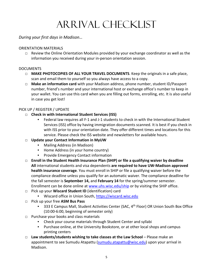# Arrival Checklist

## *During your first days in Madison…*

## ORIENTATION MATERIALS

 $\Box$  Review the Online Orientation Modules provided by your exchange coordinator as well as the information you received during your in-person orientation session.

## **DOCUMENTS**

- □ **MAKE PHOTOCOPIES OF ALL YOUR TRAVEL DOCUMENTS**. Keep the originals in a safe place, scan and email them to yourself so you always have access to a copy.
- □ **Make an information card** with your Madison address, phone number, student ID/Passport number, friend's number and your international host or exchange office's number to keep in your wallet. You can use this card when you are filling out forms, enrolling, etc. It is also useful in case you get lost!

## PICK UP / REGISTER / UPDATE

- □ **Check in with International Student Services (ISS)**
	- Federal law requires all F-1 and J-1 students to check in with the International Student Services (ISS) office by having immigration documents scanned. It is best if you check in with ISS prior to your orientation date. They offer different times and locations for this service. Please check the ISS website and newsletters for available hours.

## □ **Update your Contact Information in MyUW**

- Mailing Address (in Madison)
- Home Address (in your home country)
- Provide Emergency Contact information
- □ **Enroll in the Student Health Insurance Plan (SHIP) or file a qualifying waiver by deadline All** international students and visa dependents **are required to have UW-Madison approved health insurance coverage**. You must enroll in SHIP or file a qualifying waiver before the compliance deadline unless you qualify for an automatic waiver. The compliance deadline for the fall semester is **September 14,** and **February 14** for the spring/summer semester. Enrollment can be done online at [www.uhs.wisc.edu/ship](http://www.uhs.wisc.edu/ship) or by visiting the SHIP office.
- □ Pick up your **Wiscard Student ID** (identification) card
	- Wiscard office in Union South, [https://wiscard.wisc.edu](https://wiscard.wisc.edu/)
- □ Pick up your free **ASM Bus Pass**
	- 333 E Campus Mall, Student Activities Center (SAC, 4<sup>th</sup> Floor) OR Union South Box Office (10:00-6:00, beginning of semester only)
- □ Purchase your books and class materials
	- Check your course materials through Student Center and syllabi
	- Purchase online, at the University Bookstore, or at other local shops and campus printing centers
- □ **Law students/students wishing to take classes at the Law School** Please make an appointment to see Sumudu Atapattu [\(sumudu.atapattu@wisc.edu\)](mailto:sumudu.atapattu@wisc.edu) upon your arrival in Madison.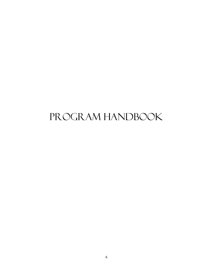# <span id="page-7-0"></span>PROGRAM HANDBOOK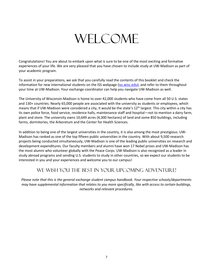# **WELCOME**

Congratulations! You are about to embark upon what is sure to be one of the most exciting and formative experiences of your life. We are very pleased that you have chosen to include study at UW-Madison as part of your academic program.

To assist in your preparations, we ask that you carefully read the contents of this booklet and check the information for new international students on the ISS webpage [\(iss.wisc.edu\)](http://iss.wisc.edu/), and refer to them throughout your time at UW-Madison. Your exchange coordinator can help you navigate UW-Madison as well.

The University of Wisconsin-Madison is home to over 42,000 students who have come from all 50 U.S. states and 130+ countries. Nearly 65,000 people are associated with the university as students or employees, which means that if UW-Madison were considered a city, it would be the state's 12<sup>th</sup> largest. This city within a city has its own police force, food service, residence halls, maintenance staff and hospital—not to mention a dairy farm, plant and store. The university owns 10,649 acres (4,300 hectares) of land and some 850 buildings, including farms, dormitories, the Arboretum and the Center for Health Sciences.

In addition to being one of the largest universities in the country, it is also among the most prestigious. UW-Madison has ranked as one of the top fifteen public universities in the country. With about 9,500 research projects being conducted simultaneously, UW-Madison is one of the leading public universities on research and development expenditures. Our faculty members and alumni have won 17 Nobel prizes and UW-Madison has the most alumni who volunteer globally with the Peace Corps. UW-Madison is also recognized as a leader in study abroad programs and sending U.S. students to study in other countries, so we expect our students to be interested in you and your experiences and welcome you to our campus!

# WE WISH YOU THE BEST IN YOUR UPCOMING ADVENTURE!

*Please note that this is the general exchange student campus handbook. Your respective schools/departments may have supplemental information that relates to you more specifically, like with access to certain buildings, networks and relevant procedures.*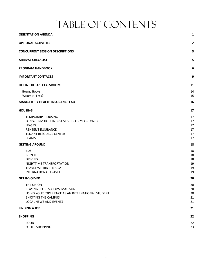# TABLE OF CONTENTS

| <b>ORIENTATION AGENDA</b>                                                                                                                                                              | $\mathbf{1}$                           |
|----------------------------------------------------------------------------------------------------------------------------------------------------------------------------------------|----------------------------------------|
| <b>OPTIONAL ACTIVITIES</b>                                                                                                                                                             | $\overline{\mathbf{2}}$                |
| <b>CONCURRENT SESSION DESCRIPTIONS</b>                                                                                                                                                 | 3                                      |
| ARRIVAL CHECKLIST                                                                                                                                                                      | 5                                      |
| <b>PROGRAM HANDBOOK</b>                                                                                                                                                                | 6                                      |
| <b>IMPORTANT CONTACTS</b>                                                                                                                                                              | 9                                      |
| LIFE IN THE U.S. CLASSROOM                                                                                                                                                             | 11                                     |
| <b>BUYING BOOKS</b><br>WHOM DO LASK?                                                                                                                                                   | 14<br>15                               |
| <b>MANDATORY HEALTH INSURANCE FAQ</b>                                                                                                                                                  | 16                                     |
| <b>HOUSING</b>                                                                                                                                                                         | 17                                     |
| <b>TEMPORARY HOUSING</b><br>LONG-TERM HOUSING (SEMESTER OR YEAR-LONG)<br>LEASES<br><b>RENTER'S INSURANCE</b><br><b>TENANT RESOURCE CENTER</b><br><b>SCAMS</b><br><b>GETTING AROUND</b> | 17<br>17<br>17<br>17<br>17<br>17<br>18 |
| <b>BUS</b><br><b>BICYCLE</b><br><b>DRIVING</b><br>NIGHTTIME TRANSPORTATION<br>TRAVEL WITHIN THE USA<br>INTERNATIONAL TRAVEL                                                            | 18<br>18<br>18<br>19<br>19<br>19       |
| GET INVOLVED                                                                                                                                                                           | 20                                     |
| THE UNION<br>PLAYING SPORTS AT UW-MADISON<br>USING YOUR EXPERIENCE AS AN INTERNATIONAL STUDENT<br><b>ENJOYING THE CAMPUS</b><br>LOCAL NEWS AND EVENTS                                  | 20<br>20<br>20<br>21<br>21             |
| <b>FINDING A JOB</b>                                                                                                                                                                   | 21                                     |
| SHOPPING                                                                                                                                                                               | 22                                     |
| <b>FOOD</b><br>OTHER SHOPPING                                                                                                                                                          | 22<br>23                               |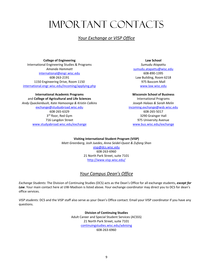# <span id="page-10-0"></span>Important Contacts

## *Your Exchange or VISP Office*

**College of Engineering** International Engineering Studies & Programs *Amanda Hammatt* [international@engr.wisc.edu](mailto:international@engr.wisc.edu) 608-263-2191 1150 Engineering Drive, Room 1150 [international.engr.wisc.edu/incoming/applying.php](http://international.engr.wisc.edu/incoming/applying.php)

**International Academic Programs**  and **College of Agricultural and Life Sciences** *Andy Quackenbush, Kate Hamoonga & Kristin Calkins* [exchange@studyabroad.wisc.edu](mailto:exchange@studyabroad.wisc.edu) 608-265-6329 3<sup>rd</sup> floor, Red Gym 716 Langdon Street [www.studyabroad.wisc.edu/exchange](http://www.studyabroad.wisc.edu/exchange)

**Law School** *Sumudu Atapattu* [sumudu.atapattu@wisc.edu](mailto:sumudu.atapattu@wisc.edu) 608-890-1395 Law Building, Room 6218 975 Bascom Mall [www.law.wisc.edu](http://www.law.wisc.edu/)

**Wisconsin School of Business** International Programs *Joseph Halaas & Sarah Melin* [incoming.exchange@wsb.wisc.edu](mailto:wsobexchange@bus.wisc.edu) 608-265-5017 3290 Grainger Hall 975 University Avenue [www.bus.wisc.edu/exchange](http://www.bus.wisc.edu/exchange)

**Visiting International Student Program (VISP)** *Matt Greenberg, Josh Juedes, Anna Seidel-Quast & Zufang Shan* [visp@dcs.wisc.edu](mailto:visp@dcs.wisc.edu) 608-263-6960 21 North Park Street, suite 7101 <http://www.visp.wisc.edu/>

## *Your Campus Dean's Office*

*Exchange Students:* The Division of Continuing Studies (DCS) acts as the Dean's Office for all exchange students, *except for Law*. Your main contact here at UW-Madison is listed above. Your exchange coordinator may direct you to DCS for dean's office services.

*VISP students:* DCS and the VISP staff also serve as your Dean's Office contact. Email your VISP coordinator if you have any questions.

> **Division of Continuing Studies** Adult Career and Special Student Services (ACSSS) 21 North Park Street, suite 7101 [continuingstudies.wisc.edu/advising](http://continuingstudies.wisc.edu/advising/) 608-263-6960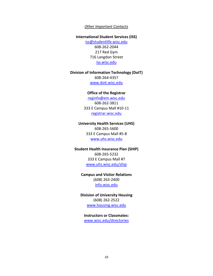### *Other Important Contacts*

### **International Student Services (ISS)**

[iss@studentlife.wisc.edu](mailto:iss@studentlife.wisc.edu) 608-262-2044 217 Red Gym 716 Langdon Street [iss.wisc.edu](http://iss.wisc.edu/)

### **Division of Information Technology (DoIT)**

608-264-4357 [www.doit.wisc.edu](http://www.doit.wisc.edu/)

#### **Office of the Registrar**

[reginfo@em.wisc.edu](mailto:reginfo@em.wisc.edu) 608-262-3811 333 E Campus Mall #10-11 [registrar.wisc.edu](http://registrar.wisc.edu/)

### **University Health Services (UHS)**

608-265-5600 333 E Campus Mall #5-8 [www.uhs.wisc.edu](http://www.uhs.wisc.edu/)

#### **Student Health Insurance Plan (SHIP)**

608-265-5232 333 E Campus Mall #7 [www.uhs.wisc.edu/ship](http://www.uhs.wisc.edu/ship)

### **Campus and Visitor Relations**

(608) 263-2400 [info.wisc.edu](http://info.wisc.edu/)

**Division of University Housing** (608) 262-2522 [www.housing.wisc.edu](http://www.housing.wisc.edu/)

**Instructors or Classmates:**

[www.wisc.edu/directories](http://www.wisc.edu/directories)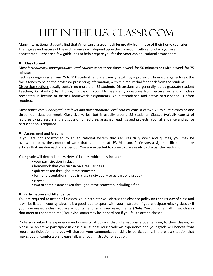# Life in the U.S. Classroom

<span id="page-12-0"></span>Many international students find that American classrooms differ greatly from those of their home countries. The degree and nature of these differences will depend upon the classroom culture to which you are accustomed. Here are a few guidelines to help prepare you for the American educational atmosphere:

## **Class Format**

Most *introductory, undergraduate-level courses* meet three times a week for 50 minutes or twice a week for 75 minutes.

Lectures range in size from 25 to 250 students and are usually taught by a professor. In most large lectures, the focus tends to be on the professor presenting information, with minimal verbal feedback from the students. Discussion sections usually contain no more than 35 students. Discussions are generally led by graduate student

Teaching Assistants (TAs). During discussion, your TA may clarify questions from lecture, expand on ideas presented in lecture or discuss homework assignments. Your attendance and active participation is often required.

Most *upper-level undergraduate-level and most graduate-level courses* consist of two 75-minute classes or one three-hour class per week. Class size varies, but is usually around 25 students. Classes typically consist of lectures by professors and a discussion of lectures, assigned readings and projects. Your attendance and active participation is required.

## **Assessment and Grading**

If you are not accustomed to an educational system that requires daily work and quizzes, you may be overwhelmed by the amount of work that is required at UW-Madison. Professors assign specific chapters or articles that are due each class period. You are expected to come to class ready to discuss the readings.

Your grade will depend on a variety of factors, which may include:

- your participation in class
- homework that you turn in on a regular basis
- quizzes taken throughout the semester
- formal presentations made in class (individually or as part of a group)
- papers
- two or three exams taken throughout the semester, including a final

### **Participation and Attendance**

You are required to attend all classes. Your instructor will discuss the absence policy on the first day of class and it will be listed in your syllabus. It is a good idea to speak with your instructor if you anticipate missing class or if you have missed a class. You are accountable for all missed assignments. (**Note:** You *cannot* enroll in two classes that meet at the same time.) Your visa status may be jeopardized if you fail to attend classes.

Professors value the experience and diversity of opinion that international students bring to their classes, so please be an active participant in class discussions! Your academic experience and your grade will benefit from regular participation, and you will sharpen your communication skills by participating. If there is a situation that makes you uncomfortable, please talk with your instructor or advisor.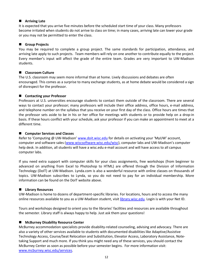### **Arriving Late**

It is expected that you arrive five minutes before the scheduled start time of your class. Many professors become irritated when students do not arrive to class on time; in many cases, arriving late can lower your grade or you may not be permitted to enter the class.

### **Group Projects**

You may be required to complete a group project. The same standards for participation, attendance, and arriving late apply to such projects. Team members will rely on one another to contribute equally to the project. Every member's input will affect the grade of the entire team. Grades are very important to UW-Madison students.

### **Classroom Culture**

The U.S. classroom may seem more informal than at home. Lively discussions and debates are often encouraged. This comes as a surprise to many exchange students, as at home debate would be considered a sign of disrespect for the professor.

### ■ Contacting your Professor

Professors at U.S. universities encourage students to contact them outside of the classroom. There are several ways to contact your professor; many professors will include their office address, office hours, e-mail address, and telephone number on the syllabus that you receive on your first day of the class. Office hours are times that the professor sets aside to be in his or her office for meetings with students or to provide help on a drop-in basis. If these hours conflict with your schedule, ask your professor if you can make an appointment to meet at a different time.

### ■ Computer Services and Classes

Refer to 'Computing @ UW-Madison' [www.doit.wisc.edu](http://www.doit.wisc.edu/) for details on activating your 'MyUW' account, computer and software sales [\(www.wiscsoftware.wisc.edu/wisc\)](http://www.wiscsoftware.wisc.edu/wisc), computer labs and UW-Madison's computer help desk. In addition, all students will have a wisc.edu e-mail account and will have access to all campus computer labs.

If you need extra support with computer skills for your class assignments, free workshops (from beginner to advanced on anything from Excel to Photoshop to HTML) are offered through the Division of Information Technology (DoIT) at UW-Madison. Lynda.com is also a wonderful resource with online classes on thousands of topics. UW-Madison subscribes to Lynda, so you do not need to pay for an individual membership. More information can be found on the DoIT website above.

### **Library Resources**

UW-Madison is home to dozens of department-specific libraries. For locations, hours and to access the many online resources available to you as a UW-Madison student, visit [library.wisc.edu.](http://library.wisc.edu/) Login is with your Net ID.

Tours and workshops designed to orient you to the libraries' facilities and resources are available throughout the semester. Library staff is always happy to help. Just ask them your questions!

## **McBurney Disability Resource Center**

McBurney accommodation specialists provide disability-related counseling, advising and advocacy. There are also a variety of other services available to students with documented disabilities like Adaptive/Assistive Technology Access, Course/Seat Relocation and Substitution, Elevator Access, Laboratory Assistance, Notetaking Support and much more. If you think you might need any of these services, you should contact the McBurney Center as soon as possible before your semester begins. For more information visit: [www.mcburney.wisc.edu/services.](http://www.mcburney.wisc.edu/services)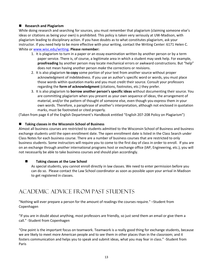## **Research and Plagiarism**

While doing research and searching for sources, you must remember that plagiarism (claiming someone else's ideas or citations as being your own) is prohibited. This policy is taken very seriously at UW-Madison, with plagiarism leading to disciplinary action. If you have doubts as to what constitutes plagiarism, ask your instructor. If you need help to be more effective with your writing, contact the Writing Center: 6171 Helen C. White or [www.wisc.edu/writing](http://www.wisc.edu/writing)**. Please remember:**

- 1. It is plagiarism to turn in a paper or an essay examination written by another person or by a term paper service. There is, of course, a legitimate area in which a student may seek help. For example, **proofreading** by another person may locate mechanical errors or awkward constructions. But "help" does not mean having another person *make* the corrections or revisions.
- 2. It is also plagiarism **to copy** some portion of your text from another source without proper acknowledgment of indebtedness. If you use an author's specific word or words, you must place those words within quotation marks and you must credit their source. Consult your professors regarding the **form of acknowledgment** (citations, footnotes, etc.) they prefer.
- 3. It is also plagiarism to **borrow another person's specific ideas** without documenting their source. You are committing plagiarism when you present as your own sequence of ideas, the arrangement of material, and/or the pattern of thought of someone else, even though you express them in your own words. Therefore, a paraphrase of another's interpretation, although not enclosed in quotation marks, must be footnoted or cited properly.

(Taken from page 4 of the English Department's Handbook entitled "English 207-208 Policy on Plagiarism")

### **Taking classes in the Wisconsin School of Business**

Almost all business courses are restricted to students admitted to the Wisconsin School of Business and business exchange students until the open enrollment date. The open enrollment date is listed in the Class Search under Class Notes for each business course. There are a number of business courses that are restricted to only business students. Some instructors will require you to come to the first day of class in order to enroll. If you are on an exchange through another international programs host or exchange office (IAP, Engineering, etc.), you will not necessarily be able to take business courses and should plan accordingly.

## ■ Taking classes at the Law School

As special students, you cannot enroll directly in law classes. We need to enter permission before you can do so. Please contact the Law School coordinator as soon as possible upon your arrival in Madison to get registered in classes.

# ACADEMIC ADVICE FROM PAST STUDENTS

"Nothing will ever prepare a person for the amount of readings the courses require." –Student from Copenhagen

"If you are in doubt about anything, most professors are friendly, so just send them an email or give them a call." -Student from Copenhagen

"One point is the important focus on teamwork. Teamwork is a really good thing for exchange students, because we are likely to meet more American people and to see them in other places than in the classroom; and it fosters communication and helps you to speak and submit ideas, what you may fear in class." -Student from Paris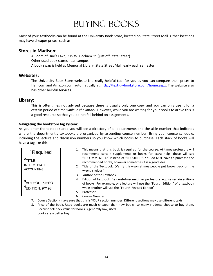# Buying Books

<span id="page-15-0"></span>Most of your textbooks can be found at the University Book Store, located on State Street Mall. Other locations may have cheaper prices, such as:

## **Stores in Madison:**

A Room of One's Own, 315 W. Gorham St. (just off State Street) Other used book stores near campus A book swap is held at Memorial Library, State Street Mall, early each semester.

## **Websites:**

The University Book Store website is a really helpful tool for you as you can compare their prices to Half.com and Amazon.com automatically at: [http://text.uwbookstore.com/home.aspx.](http://text.uwbookstore.com/home.aspx) The website also has other helpful services.

## **Library:**

This is oftentimes not advised because there is usually only one copy and you can only use it for a certain period of time *while in the library.* However, while you are waiting for your books to arrive this is a good resource so that you do not fall behind on assignments.

### **Navigating the bookstore tag system:**

As you enter the textbook area you will see a directory of all departments and the aisle number that indicates where the department's textbooks are organized by ascending course number. Bring your course schedule, including the lecture and discussion numbers so you know which books to purchase. Each stack of books will have a tag like this:

| <sup>1</sup> Required                                                                                    | 1. | This means that this book is required for the course. At times professors will<br>recommend certain supplements or books for extra help-these will say                                                                              |  |  |
|----------------------------------------------------------------------------------------------------------|----|-------------------------------------------------------------------------------------------------------------------------------------------------------------------------------------------------------------------------------------|--|--|
| $2$ TITLE:<br><b>INTERMEDIATE</b><br><b>ACCOUNTING</b>                                                   |    | "RECOMMENDED" instead of "REQUIRED". You do NOT have to purchase the<br>recommended books, however sometimes it is a good idea.<br>2. Title of the Textbook. (Verify this—sometimes people put books back on the<br>wrong shelves.) |  |  |
|                                                                                                          | 3. | Author of the Textbook.                                                                                                                                                                                                             |  |  |
| <sup>3</sup> AUTHOR: KIESO                                                                               |    | 4. Edition of Textbook. Be careful—sometimes professors require certain editions<br>of books. For example, one lecture will use the "Fourth Edition" of a textbook                                                                  |  |  |
| $4$ EDITION: $9TH$ 98                                                                                    |    | while another will use the "Fourth Revised Edition".                                                                                                                                                                                |  |  |
|                                                                                                          | 5. | Professor                                                                                                                                                                                                                           |  |  |
|                                                                                                          | 6. | <b>Course Number</b>                                                                                                                                                                                                                |  |  |
| Course Section (make sure that this is YOUR section number. Different sections may use different texts.) |    |                                                                                                                                                                                                                                     |  |  |

<span id="page-15-1"></span>8. Price of the book. Used books are much cheaper than new books, so many students choose to buy them. Because sell-back value for books is generally low, used books are a better buy.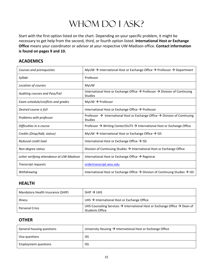# WHOM DO I ASK?

Start with the first option listed on the chart. Depending on your specific problem, it might be necessary to get help from the second, third, or fourth option listed. **International Host or Exchange Office** means your coordinator or advisor at your respective UW-Madison office. **Contact information is found on pages 9 and 10.**

## **ACADEMICS**

| Courses and prerequisites                 | MyUW $\rightarrow$ International Host or Exchange Office $\rightarrow$ Professor $\rightarrow$ Department            |
|-------------------------------------------|----------------------------------------------------------------------------------------------------------------------|
| Syllabi                                   | Professor                                                                                                            |
| Location of courses                       | MyUW                                                                                                                 |
| Auditing courses and Pass/Fail            | International Host or Exchange Office $\rightarrow$ Professor $\rightarrow$ Division of Continuing<br><b>Studies</b> |
| Exam schedule/conflicts and grades        | $MyUW \rightarrow$ Professor                                                                                         |
| Desired course is full                    | International Host or Exchange Office $\rightarrow$ Professor                                                        |
| Problems with professor                   | Professor $\rightarrow$ International Host or Exchange Office $\rightarrow$ Division of Continuing<br><b>Studies</b> |
| Difficulties in a course                  | Professor $\rightarrow$ Writing Center/GUTS $\rightarrow$ International Host or Exchange Office                      |
| Credits (Drop/Add, status)                | MyUW $\rightarrow$ International Host or Exchange Office $\rightarrow$ ISS                                           |
| Reduced credit load                       | International Host or Exchange Office $\rightarrow$ ISS                                                              |
| Non-degree status                         | Division of Continuing Studies $\rightarrow$ International Host or Exchange Office                                   |
| Letter verifying attendance at UW-Madison | International Host or Exchange Office $\rightarrow$ Registrar                                                        |
| <b>Transcript requests</b>                | ordertranscript.wisc.edu                                                                                             |
| Withdrawing                               | International Host or Exchange Office $\rightarrow$ Division of Continuing Studies $\rightarrow$ ISS                 |

## **HEALTH**

| Mandatory Health Insurance (SHIP) | $SHIP \rightarrow UHS$                                                                                                      |
|-----------------------------------|-----------------------------------------------------------------------------------------------------------------------------|
| <b>Illness</b>                    | UHS $\rightarrow$ International Host or Exchange Office                                                                     |
| <b>Personal Crisis</b>            | UHS Counseling Services $\rightarrow$ International Host or Exchange Office $\rightarrow$ Dean of<br><b>Students Office</b> |

## **OTHER**

| General housing questions | University Housing $\rightarrow$ International Host or Exchange Office |
|---------------------------|------------------------------------------------------------------------|
| Visa questions            | <b>ISS</b>                                                             |
| Employment questions      | <b>ISS</b>                                                             |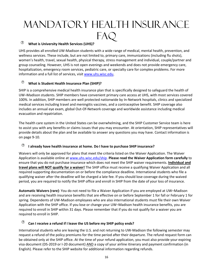# <span id="page-17-0"></span>Mandatory Health Insurance FAQ

## **What is University Health Services (UHS)?**

UHS provides all enrolled UW-Madison students with a wide range of medical, mental health, prevention, and wellness services. These include, but are not limited to, primary care, immunizations (including flu shots), women's health, travel, sexual health, physical therapy, stress management and individual, couple/partner and group counseling. However, UHS is not open evenings and weekends and does not provide emergency care, hospitalization, emergency room services, pediatric care, or specialty care for complex problems. For more information and a full list of services, visit [www.uhs.wisc.edu.](http://www.uhs.wisc.edu/)

## **What is Student Health Insurance Plan (SHIP)?**

SHIP is a comprehensive medical health insurance plan that is specifically designed to safeguard the health of UW–Madison students. SHIP members have convenient primary care access at UHS, with most services covered 100%. In addition, SHIP members are well protected nationwide by In-Network hospitals, clinics and specialized medical services including travel and meningitis vaccines, and a contraceptive benefit. SHIP coverage also includes an annual eye exam, global Out-Of-Network coverage and worldwide assistance including medical evacuation and repatriation.

The health care system in the United States can be overwhelming, and the SHIP Customer Service team is here to assist you with any benefits or claims issues that you may encounter. At orientation, SHIP representatives will provide details about the plan and be available to answer any questions you may have. Contact information is on page 9-10.

## **I already have health insurance at home. Do I have to purchase SHIP insurance?**

Waivers will only be approved for plans that meet the criteria listed on the Waiver Application. The Waiver Application is available online at [www.uhs.wisc.edu/ship.](http://www.uhs.wisc.edu/ship) **Please read the Waiver Application form carefully** to ensure that you do not purchase insurance which does not meet the SHIP waiver requirements. **Individual and travel plans will NOT qualify for a waiver!** The SHIP office must receive a qualifying Waiver Application and all required supporting documentation on or before the compliance deadline. International students who file a qualifying waiver after the deadline will be charged a late fee. If you should lose coverage during the waived period, you are required to notify the SHIP office and enroll in SHIP from the date of your loss of insurance.

**Automatic Waivers (rare)**: You do not need to file a Waiver Application if you are employed at UW–Madison and are receiving health insurance benefits that are effective on or before September 1 for fall or February 1 for spring. Dependents of UW-Madison employees who are also international students must file their own Waiver Application with the SHIP office. If you lose or change your UW–Madison health insurance benefits, you are required to enroll in SHIP within 31 days. Please remember that if you do not qualify for a waiver you are required to enroll in SHIP.

## **Can I receive a refund if I leave the US before my SHIP policy ends?**

International students who are leaving the U.S. and not returning to UW-Madison the following semester may request a refund of the policy premiums for the time period after their departure. The refund request form can be obtained only at the SHIP office. At the time of your refund application, you must also provide your expiring visa document (DS-2019 or I-20 document) AND a copy of your airline itinerary and payment confirmation (in English). Please refer to the SHIP website for additional information regarding refunds.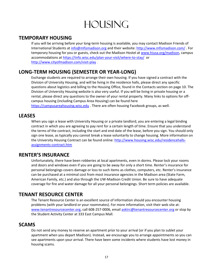# **HOUSING**

## <span id="page-18-1"></span><span id="page-18-0"></span>**TEMPORARY HOUSING**

If you will be arriving before your long-term housing is available, you may contact Madison Friends of International Students at [info@mfismadison.org](mailto:info@mfismadison.org) and their website:<http://www.mfismadison.com/> . For temporary housing for you or guests, check out the Madison Hostel at [www.hiusa.org/madison,](http://www.hiusa.org/madison) campus accommodations at <https://info.wisc.edu/plan-your-visit/where-to-stay/> or <http://www.cityofmadison.com/visit-play> .

# <span id="page-18-2"></span>**LONG-TERM HOUSING (SEMESTER OR YEAR-LONG)**

Exchange students are required to arrange their own housing. If you have signed a contract with the Division of University Housing, and will be living in the residence halls, please direct any specific questions about logistics and billing to the Housing Office, found in the Contacts section on page 10. The Division of University Housing website is also very useful. If you will be living in private housing or a rental, please direct any questions to the owner of your rental property. Many links to options for offcampus housing (including Campus Area Housing) can be found here [https://campusareahousing.wisc.edu](https://campusareahousing.wisc.edu/) . There are often housing Facebook groups, as well.

## <span id="page-18-3"></span>**LEASES**

When you sign a lease with University Housing or a private landlord, you are entering a legal binding contract in which you are agreeing to pay rent for a certain length of time. Ensure that you understand the terms of the contract, including the start and end date of the lease, before you sign. You should only sign one lease, as typically you cannot break a lease voluntarily to change housing. More information on the University Housing Contract can be found online: [http://www.housing.wisc.edu/residencehalls](http://www.housing.wisc.edu/residencehalls-assignments-contract.htm)[assignments-contract.htm](http://www.housing.wisc.edu/residencehalls-assignments-contract.htm)

## <span id="page-18-4"></span>**RENTER'S INSURANCE**

Unfortunately, there have been robberies at local apartments, even in dorms. Please lock your rooms and doors and windows even if you are going to be away for only a short time. Renter's insurance for personal belongings covers damage or loss to such items as clothes, computers, etc. Renter's insurance can be purchased at a minimal cost from most insurance agencies in the Madison area (State Farm, American Family, etc.) and also through the UW-Madison Credit Union. Be sure to have adequate coverage for fire and water damage for all your personal belongings. Short term policies are available.

## <span id="page-18-5"></span>**TENANT RESOURCE CENTER**

The Tenant Resource Center is an excellent source of information should you encounter housing problems (with your landlord or your roommates). For more information, visit their web site at: [www.tenantresourcecenter.org,](http://www.tenantresourcecenter.org/) call 608-257-0006, email [asktrc@tenantresourcecenter.org](mailto:asktrc@tenantresourcecenter.org) or stop by the Student Activity Center at 333 East Campus Mall.

## <span id="page-18-6"></span>**SCAMS**

Do not send any money to reserve an apartment prior to your arrival (or if you plan to sublet your apartment when you depart Madison). Instead, we encourage you to arrange appointments so you can see apartments upon your arrival. There have been some incidents where students have lost money in housing scams.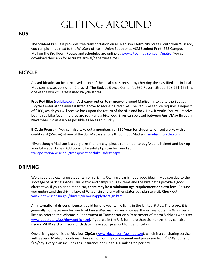# **GETTING AROUND**

## <span id="page-19-1"></span><span id="page-19-0"></span>**BUS**

The Student Bus Pass provides free transportation on all Madison Metro city routes. With your WisCard, you can pick it up next to the WisCard office in Union South or at ASM Student Print (333 Campus Mall on the 3rd floor). Routes and schedules are online a[t www.cityofmadison.com/metro.](http://www.cityofmadison.com/metro) You can download their app for accurate arrival/departure times.

## <span id="page-19-2"></span>**BICYCLE**

A **used bicycle** can be purchased at one of the local bike stores or by checking the classified ads in local Madison newspapers or on Craigslist. The Budget Bicycle Center (at 930 Regent Street, 608-251-1663) is one of the world's largest used bicycle stores.

**Free Red Bike** [\(redbikes.org\)](http://redbikes.org/): A cheaper option to maneuver around Madison is to go to the Budget Bicycle Center at the address listed above to request a red bike. The Red Bike service requires a deposit of \$100, which you will receive back upon the return of the bike and lock. How it works: You will receive both a red bike (even the tires are red!) and a bike lock. Bikes can be used **between April/May through November**. Go as early as possible as bikes go quickly!

**B-Cycle Program**: You can also take out a membership **(\$20/year for students)** or rent a bike with a credit card (\$5/day) at one of the 35 B-Cycle stations throughout Madison: [madison.bcycle.com.](http://madison.bcycle.com/)

\*Even though Madison is a very bike-friendly city, please remember to buy/wear a helmet and lock up your bike at all times. Additional bike safety tips can be found at [transportation.wisc.edu/transportation/bike\\_safety.aspx.](http://transportation.wisc.edu/transportation/bike_safety.aspx)

# <span id="page-19-3"></span>**DRIVING**

We discourage exchange students from driving. Owning a car is not a good idea in Madison due to the shortage of parking spaces. Our Metro and campus bus systems and the bike paths provide a good alternative. If you plan to rent a car, **there may be a minimum age requirement or extra fees**! Be sure you understand the driving laws of Wisconsin and any other states you plan to visit. Check out [www.dot.wisconsin.gov/drivers/drivers/apply/foreign.htm.](http://www.dot.wisconsin.gov/drivers/drivers/apply/foreign.htm)

An **international driver's license** is valid for one year while living in the United States. Therefore, it is generally not necessary for you to obtain a Wisconsin driver's license. If you must obtain a WI driver's license, refer to the Wisconsin Department of Transportation's Department of Motor Vehicles web site: [www.dot.state.wi.us/dmv/getlic.html.](http://www.dot.state.wi.us/dmv/getlic.html) If you are in the U.S. for more than six months, they can also issue a WI ID card with your birth date—take your passport for identification.

One driving option is the **Madison ZipCar** [\(www.zipcar.com/uwmadison\)](http://www.zipcar.com/uwmadison), which is a car sharing service with several Madison locations. There is no monthly commitment and prices are from \$7.50/hour and \$69/day. Every plan includes gas, insurance and up to 180 miles free per day.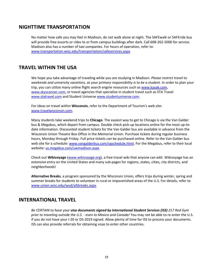## <span id="page-20-0"></span>**NIGHTTIME TRANSPORTATION**

No matter how safe you may feel in Madison, do not walk alone at night. The SAFEwalk or SAFEride bus will provide free escorts or rides to or from campus buildings after dark. Call 608-262-5000 for service. Madison also has a number of taxi companies. For hours of operation, refer to: [www.transportation.wisc.edu/transportation/safeservices.aspx.](http://www.transportation.wisc.edu/transportation/safeservices.aspx)

## <span id="page-20-1"></span>**TRAVEL WITHIN THE USA**

We hope you take advantage of traveling while you are studying in Madison. *Please restrict travel to weekends and university vacations, as your primary responsibility is to be a student.* In order to plan your trip, you can utilize many online flight search engine resources such as [www.kayak.com,](http://www.kayak.com/) [www.skyscanner.com,](http://www.skyscanner.com/) or travel agencies that specialize in student travel such as STA Travel [www.statravel.com](http://www.statravel.com/) and Student Universe [www.studentuniverse.com.](http://www.studentuniverse.com/)

For ideas on travel within **Wisconsin**, refer to the Department of Tourism's web site: [www.travelwisconsin.com.](http://www.travelwisconsin.com/)

Many students take weekend trips to **Chicago**. The easiest way to get to Chicago is via the Van Galder bus & Megabus, which depart from campus. Double check pick-up locations online for the most up-todate information. Discounted student tickets for the Van Galder bus are available in advance from the Wisconsin Union Theatre Box Office in the Memorial Union. Purchase tickets during regular business hours, Monday through Friday. Full price tickets can be purchased online. Refer to the Van Galder bus web site for a schedule[: www.vangalderbus.com/vgschedule.html.](http://www.vangalderbus.com/vgschedule.html) For the Megabus, refer to their local website[: us.megabus.com/uwmadison.aspx.](http://us.megabus.com/uwmadison.aspx)

Check out **Wikivoyage** [\(www.wikivoyage.org\)](http://www.wikivoyage.org/), a free travel wiki that anyone can edit. Wikivoyage has an extensive entry on the United States and many sub-pages for regions, states, cities, city districts, and neighborhoods!

**Alternative Breaks**, a program sponsored by the Wisconsin Union, offers trips during winter, spring and summer breaks for students to volunteer in rural or impoverished areas of the U.S. For details, refer to [www.union.wisc.edu/wud/altbreaks.aspx.](http://www.union.wisc.edu/wud/altbreaks.aspx)

## <span id="page-20-2"></span>**INTERNATIONAL TRAVEL**

*Be CERTAIN to have your visa documents signed by International Student Services (ISS) 217 Red Gym prior to traveling outside the U.S. - even to Mexico and Canada!* You may not be able to re-enter the U.S. if you do not have your I-20 or DS-2019 signed. Allow plenty of time for ISS to process your documents. ISS can also provide referrals for obtaining visas to enter other countries.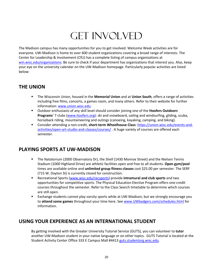# **GET INVOLVED**

<span id="page-21-0"></span>The Madison campus has many opportunities for you to get involved. Welcome Week activities are for everyone. UW-Madison is home to over 600 student organizations covering a broad range of interests. The Center for Leadership & Involvement (CfLI) has a complete listing of campus organizations at [win.wisc.edu/organizations.](https://win.wisc.edu/organizations) Be sure to check if your department has organizations that interest you. Also, keep your eye on the university calendar on the UW-Madison homepage. Particularly popular activities are listed below:

# <span id="page-21-1"></span>**THE UNION**

- The Wisconsin Union, housed in the **Memorial Union** and at **Union South**, offers a range of activities including free films, concerts, a games room, and many others. Refer to their website for further information[: www.union.wisc.edu.](http://www.union.wisc.edu/)
- Outdoor enthusiasts of any skill level should consider joining one of the **Hoofers Outdoors Programs**' 7 clubs [\(www.hoofers.org\)](http://www.hoofers.org/): ski and snowboard, sailing and windsurfing, gliding, scuba, horseback riding, mountaineering and outings (canoeing, kayaking, camping, and biking).
- Consider attending a non-credit, **short-term Wheelhouse Class**: [https://union.wisc.edu/events-and](https://union.wisc.edu/events-and-activities/open-art-studio-and-classes/courses/)[activities/open-art-studio-and-classes/courses/](https://union.wisc.edu/events-and-activities/open-art-studio-and-classes/courses/) . A huge variety of courses are offered each semester.

# <span id="page-21-2"></span>**PLAYING SPORTS AT UW-MADISON**

- The Natatorium (2000 Observatory Dr), the Shell (1430 Monroe Street) and the Nielsen Tennis Stadium (1000 Highland Drive) are athletic facilities open and free to all students. **Open gym/pool** times are available online and **unlimited group fitness classes** cost \$25.00 per semester. The SERF (715 W. Dayton St) is currently closed for construction.
- Recreational Sports [\(www.wisc.edu/recsports\)](http://www.wisc.edu/recsports) provide **intramural and club sports** and two opportunities for competitive sports. The Physical Education Elective Program offers one-credit courses throughout the semester. Refer to the Class Search timetable to determine which courses are still open.
- Exchange students cannot play varsity sports while at UW-Madison, but we strongly encourage you to **attend some games** throughout your time here. See [www.UWbadgers.com/schedules.html](http://www.uwbadgers.com/schedules.html) for information.

# <span id="page-21-3"></span>**USING YOUR EXPERIENCE AS AN INTERNATIONAL STUDENT**

By getting involved with the Greater University Tutorial Service (GUTS), you can volunteer to **tutor** another UW-Madison student in your native language or on other topics. GUTS Tutorial is located at the Student Activity Center Office 333 E Campus Mall #4413 [guts.studentorg.wisc.edu.](http://guts.studentorg.wisc.edu/)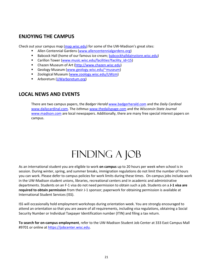# <span id="page-22-0"></span>**ENJOYING THE CAMPUS**

Check out your campus map [\(map.wisc.edu\)](http://map.wisc.edu/) for some of the UW-Madison's great sites:

- **Allen Centennial Gardens [\(www.allencentennialgardens.org\)](http://www.allencentennialgardens.org/)**
- Babcock Hall (home of our famous ice cream; [babcockhalldairystore.wisc.edu\)](http://babcockhalldairystore.wisc.edu/)
- Carillon Tower [\(www.music.wisc.edu/facilities?facility\\_id=15\)](http://www.music.wisc.edu/facilities?facility_id=15)
- Chazen Museum of Art [\(http://www.chazen.wisc.edu\)](http://www.chazen.wisc.edu/)
- Geology Museum [\(www.geology.wisc.edu/~museum\)](http://www.geology.wisc.edu/%7Emuseum/)
- Zoological Museum [\(www.zoology.wisc.edu/UWzm\)](http://www.zoology.wisc.edu/uwzm)
- **F** Arboretum [\(UWarboretum.org\)](http://uwarboretum.org/)

## <span id="page-22-1"></span>**LOCAL NEWS AND EVENTS**

There are two campus papers, the *Badger Herald* [www.badgerherald.com](http://www.badgerherald.com/) and the *Daily Cardinal* [www.dailycardinal.com.](http://www.dailycardinal.com/) The *Isthmus* [www.thedailypage.com](http://www.thedailypage.com/) and the *Wisconsin State Journal* [www.madison.com](http://www.madison.com/) are local newspapers. Additionally, there are many free special interest papers on campus.

# FINDING A JOB

<span id="page-22-2"></span>As an international student you are eligible to work **on campus** up to 20 hours per week when school is in session. During winter, spring, and summer breaks, immigration regulations do not limit the number of hours you can work. Please defer to campus policies for work limits during these times. On-campus jobs include work in the UW-Madison student unions, libraries, recreational centers and in academic and administrative departments. Students on an F-1 visa do not need permission to obtain such a job. Students on a **J-1 visa are required to obtain permission** from their J-1 sponsor; paperwork for obtaining permission is available at International Student Services (ISS).

ISS will occasionally hold employment workshops during orientation week. You are strongly encouraged to attend an orientation so that you are aware of all requirements, including visa regulations, obtaining a Social Security Number or Individual Taxpayer Identification number (ITIN) and filing a tax return.

**To search for on-campus employment**, refer to the UW-Madison Student Job Center at 333 East Campus Mall #9701 or online at [https://jobcenter.wisc.edu.](https://jobcenter.wisc.edu/)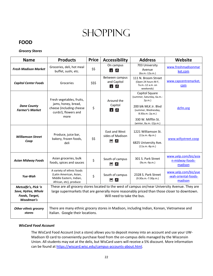# **SHOPPING**

# <span id="page-23-1"></span><span id="page-23-0"></span>**FOOD**

## *Grocery Stores*

| <b>Name</b>                                                              | <b>Products</b>                                                                                                                                                                                                             | <b>Price</b> | <b>Accessibility</b>                         | <b>Address</b>                                                                                                                                                         | Website                                                 |
|--------------------------------------------------------------------------|-----------------------------------------------------------------------------------------------------------------------------------------------------------------------------------------------------------------------------|--------------|----------------------------------------------|------------------------------------------------------------------------------------------------------------------------------------------------------------------------|---------------------------------------------------------|
| <b>Fresh Madison Market</b>                                              | Groceries, deli, hot meal<br>buffet, sushi, etc.                                                                                                                                                                            | \$\$         | On campus<br>$\vec{r}$<br>ේ                  | 703 University<br>Avenue<br>(6a.m.-12a.m.)                                                                                                                             | www.freshmadisonmar<br>ket.com                          |
| <b>Capitol Center Foods</b>                                              | Groceries                                                                                                                                                                                                                   | \$\$\$       | Between campus<br>and Capitol<br>$\star$ 6   | 111 N. Broom Street<br>(Open 24 hours M-F,<br>7a.m.-12 a.m. on<br>weekends)                                                                                            | www.capcentremarket.<br>com                             |
| <b>Dane County</b><br><b>Farmer's Market</b>                             | Fresh vegetables, fruits,<br>jams, honey, bread,<br>cheese (including cheese<br>curds!), flowers and<br>more                                                                                                                | \$           | Around the<br>Capitol<br>$\star$ 6           | Capitol Square<br>(summer, Saturday, 6a.m.-<br>2p.m.<br>200 blk MLK Jr. Blyd<br>(summer, Wednesday,<br>8:30a.m.-2p.m.)<br>330 W. Mifflin St.<br>(winter, 8a.m.-12p.m.) | dcfm.org                                                |
| <b>Williamson Street</b><br>Coop                                         | Produce, juice bar,<br>bakery, frozen foods,<br>deli                                                                                                                                                                        | \$\$         | East and West<br>sides of Madison<br>්ං<br>e | 1221 Williamson St.<br>$(11a.m.-8p.m.)$<br>6825 University Ave.<br>$(11a.m.-8p.m.)$                                                                                    | www.willystreet.coop                                    |
| <b>Asian Midway Foods</b>                                                | Asian groceries, bulk<br>foods, spices and sauces                                                                                                                                                                           | \$           | South of campus<br>⊟ ේ                       | 301 S. Park Street<br>(9a.m.-9p.m.)                                                                                                                                    | www.yelp.com/biz/asia<br>n-midway-foods-<br>madison     |
| Yue-Wah                                                                  | A variety of ethnic foods<br>(Latin American, Asian,<br>Middle Eastern, Indian,<br>African, etc), produce                                                                                                                   | \$           | South of campus<br>$\blacksquare$<br>්ත      | 2328 S. Park Street<br>$(9:30a.m.-7:30p.m.)$                                                                                                                           | www.yelp.com/biz/yue<br>-wah-oriental-foods-<br>madison |
| Metcalfe's, Pick 'n<br>Save, HyVee, Whole<br>Foods, Target,<br>Woodman's | These are all grocery stores located to the west of campus on/near University Avenue. They are<br>large supermarkets that are generally more reasonably priced than those closer to downtown.<br>Will need to take the bus. |              |                                              |                                                                                                                                                                        |                                                         |
| <b>Other ethnic grocery</b><br>stores                                    | There are many ethnic grocery stores in Madison, including Indian, Korean, Vietnamese and<br>Italian. Google their locations.                                                                                               |              |                                              |                                                                                                                                                                        |                                                         |

## *WisCard Food Account*

The WisCard Food Account (not a store) allows you to deposit money into an account and use your UW-Madison ID card to conveniently purchase food from the on-campus delis managed by the Wisconsin Union. All students may eat at the delis, but WisCard users will receive a 5% discount. More information can be found at [https://wiscard.wisc.edu/campus-accounts-about.html.](https://wiscard.wisc.edu/campus-accounts-about.html)